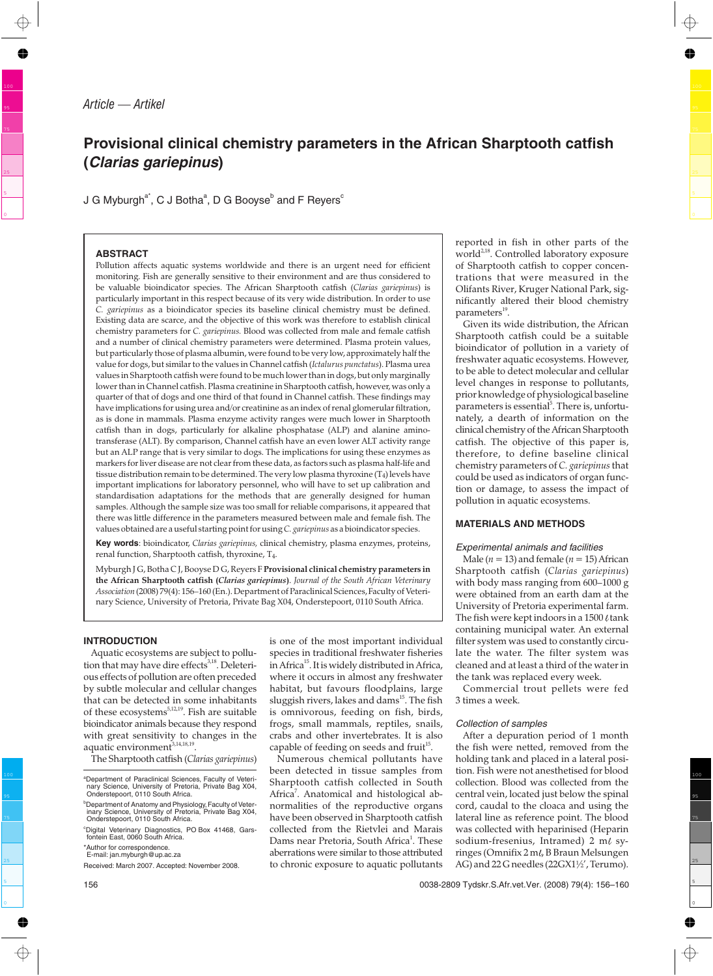# **Provisional clinical chemistry parameters in the African Sharptooth catfish (Clarias gariepinus)**

J G Myburgh $^{\mathsf{a}^*}$ , C J Both $\mathsf{a}^{\mathsf{a}},$  D G Booys $\mathsf{e}^\mathsf{b}$  and F Reyers $^\mathsf{c}$ 

## **ABSTRACT**

Pollution affects aquatic systems worldwide and there is an urgent need for efficient monitoring. Fish are generally sensitive to their environment and are thus considered to be valuable bioindicator species. The African Sharptooth catfish (*Clarias gariepinus*) is particularly important in this respect because of its very wide distribution. In order to use *C. gariepinus* as a bioindicator species its baseline clinical chemistry must be defined. Existing data are scarce, and the objective of this work was therefore to establish clinical chemistry parameters for *C. gariepinus.* Blood was collected from male and female catfish and a number of clinical chemistry parameters were determined. Plasma protein values, but particularly those of plasma albumin, were found to be very low, approximately half the value for dogs, but similar to the values in Channel catfish (*Ictalurus punctatus*). Plasma urea values in Sharptooth catfish were found to be much lower than in dogs, but only marginally lower than in Channel catfish. Plasma creatinine in Sharptooth catfish, however, was only a quarter of that of dogs and one third of that found in Channel catfish. These findings may have implications for using urea and/or creatinine as an index of renal glomerular filtration, as is done in mammals. Plasma enzyme activity ranges were much lower in Sharptooth catfish than in dogs, particularly for alkaline phosphatase (ALP) and alanine aminotransferase (ALT). By comparison, Channel catfish have an even lower ALT activity range but an ALP range that is very similar to dogs. The implications for using these enzymes as markers for liver disease are not clear from these data, as factors such as plasma half-life and tissue distribution remain to be determined. The very low plasma thyroxine (T<sub>4</sub>) levels have important implications for laboratory personnel, who will have to set up calibration and standardisation adaptations for the methods that are generally designed for human samples. Although the sample size was too small for reliable comparisons, it appeared that there was little difference in the parameters measured between male and female fish. The values obtained are a useful starting point for using*C. gariepinus* as a bioindicator species.

**Key words**: bioindicator, *Clarias gariepinus,* clinical chemistry, plasma enzymes, proteins, renal function, Sharptooth catfish, thyroxine, T4.

Myburgh J G, Botha C J, Booyse D G, Reyers F **Provisional clinical chemistry parameters in the African Sharptooth catfish (***Clarias gariepinus***)**. *Journal of the South African Veterinary Association* (2008) 79(4): 156–160 (En.). Department of Paraclinical Sciences,Faculty of Veterinary Science, University of Pretoria, Private Bag X04, Onderstepoort, 0110 South Africa.

## **INTRODUCTION**

Aquatic ecosystems are subject to pollution that may have dire effects<sup>3,18</sup>. Deleterious effects of pollution are often preceded by subtle molecular and cellular changes that can be detected in some inhabitants of these ecosystems<sup>5,12,19</sup>. Fish are suitable bioindicator animals because they respond with great sensitivity to changes in the aquatic environment $\tilde{t}^{3,14,18,19}$ .

The Sharptooth catfish (*Clarias gariepinus*)

is one of the most important individual species in traditional freshwater fisheries in Africa<sup>15</sup>. It is widely distributed in Africa, where it occurs in almost any freshwater habitat, but favours floodplains, large sluggish rivers, lakes and dams<sup>15</sup>. The fish is omnivorous, feeding on fish, birds, frogs, small mammals, reptiles, snails, crabs and other invertebrates. It is also capable of feeding on seeds and fruit $15$ .

Numerous chemical pollutants have been detected in tissue samples from Sharptooth catfish collected in South Africa<sup>7</sup>. Anatomical and histological abnormalities of the reproductive organs have been observed in Sharptooth catfish collected from the Rietvlei and Marais Dams near Pretoria, South Africa<sup>1</sup>. These aberrations were similar to those attributed to chronic exposure to aquatic pollutants

reported in fish in other parts of the world<sup>2,18</sup>. Controlled laboratory exposure of Sharptooth catfish to copper concentrations that were measured in the Olifants River, Kruger National Park, significantly altered their blood chemistry parameters<sup>19</sup>.

Given its wide distribution, the African Sharptooth catfish could be a suitable bioindicator of pollution in a variety of freshwater aquatic ecosystems. However, to be able to detect molecular and cellular level changes in response to pollutants, prior knowledge of physiological baseline parameters is essential<sup>5</sup>. There is, unfortunately, a dearth of information on the clinical chemistry of the African Sharptooth catfish. The objective of this paper is, therefore, to define baseline clinical chemistry parameters of *C. gariepinus*that could be used as indicators of organ function or damage, to assess the impact of pollution in aquatic ecosystems.

# **MATERIALS AND METHODS**

#### Experimental animals and facilities

Male ( $n = 13$ ) and female ( $n = 15$ ) African Sharptooth catfish (*Clarias gariepinus*) with body mass ranging from 600–1000 g were obtained from an earth dam at the University of Pretoria experimental farm. The fish were kept indoors in a 1500  $\ell$  tank containing municipal water. An external filter system was used to constantly circulate the water. The filter system was cleaned and at least a third of the water in the tank was replaced every week.

Commercial trout pellets were fed 3 times a week.

#### Collection of samples

After a depuration period of 1 month the fish were netted, removed from the holding tank and placed in a lateral position. Fish were not anesthetised for blood collection. Blood was collected from the central vein, located just below the spinal cord, caudal to the cloaca and using the lateral line as reference point. The blood was collected with heparinised (Heparin sodium-fresenius, Intramed) 2 m $\ell$  syringes (Omnifix  $2 \text{ m} \ell$ , B Braun Melsungen AG) and 22 G needles (22GX1½', Terumo).

a Department of Paraclinical Sciences, Faculty of Veterinary Science, University of Pretoria, Private Bag X04, Onderstepoort, 0110 South Africa.

b Department of Anatomy and Physiology,Faculty of Veter-inary Science, University of Pretoria, Private Bag X04, Onderstepoort, 0110 South Africa.

c Digital Veterinary Diagnostics, PO Box 41468, Gars-fontein East, 0060 South Africa.

<sup>\*</sup>Author for correspondence. E-mail: jan.myburgh@up.ac.za

Received: March 2007. Accepted: November 2008.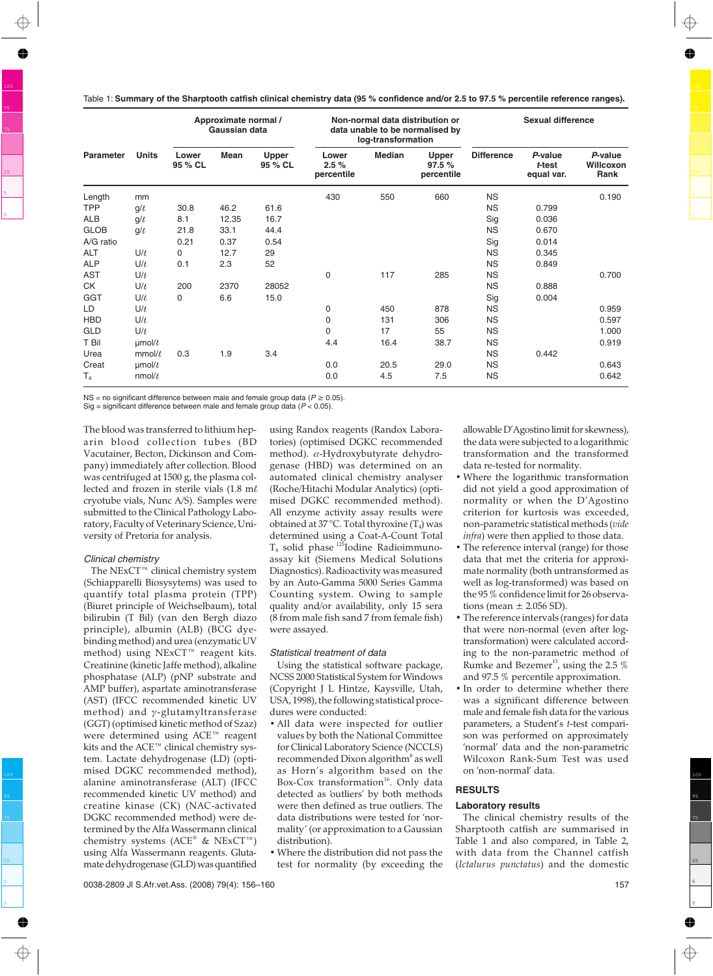Table 1: **Summary of the Sharptooth catfish clinical chemistry data (95 % confidence and/or 2.5 to 97.5 % percentile reference ranges).**

| <b>Parameter</b> | <b>Units</b>      | Approximate normal /<br>Gaussian data |             |                  |                             | log-transformation | Non-normal data distribution or<br>data unable to be normalised by | <b>Sexual difference</b> |                                 |                              |
|------------------|-------------------|---------------------------------------|-------------|------------------|-----------------------------|--------------------|--------------------------------------------------------------------|--------------------------|---------------------------------|------------------------------|
|                  |                   | Lower<br>95 % CL                      | <b>Mean</b> | Upper<br>95 % CL | Lower<br>2.5%<br>percentile | <b>Median</b>      | <b>Upper</b><br>97.5%<br>percentile                                | <b>Difference</b>        | P-value<br>t-test<br>equal var. | P-value<br>Willcoxon<br>Rank |
| Length           | mm                |                                       |             |                  | 430                         | 550                | 660                                                                | <b>NS</b>                |                                 | 0.190                        |
| <b>TPP</b>       | $q/\ell$          | 30.8                                  | 46.2        | 61.6             |                             |                    |                                                                    | <b>NS</b>                | 0.799                           |                              |
| <b>ALB</b>       | $g/\ell$          | 8.1                                   | 12.35       | 16.7             |                             |                    |                                                                    | Sig                      | 0.036                           |                              |
| <b>GLOB</b>      | g/t               | 21.8                                  | 33.1        | 44.4             |                             |                    |                                                                    | <b>NS</b>                | 0.670                           |                              |
| A/G ratio        |                   | 0.21                                  | 0.37        | 0.54             |                             |                    |                                                                    | Sig                      | 0.014                           |                              |
| ALT              | U/l               | 0                                     | 12.7        | 29               |                             |                    |                                                                    | <b>NS</b>                | 0.345                           |                              |
| <b>ALP</b>       | U/l               | 0.1                                   | 2.3         | 52               |                             |                    |                                                                    | <b>NS</b>                | 0.849                           |                              |
| <b>AST</b>       | U/l               |                                       |             |                  | 0                           | 117                | 285                                                                | <b>NS</b>                |                                 | 0.700                        |
| СK               | U/l               | 200                                   | 2370        | 28052            |                             |                    |                                                                    | <b>NS</b>                | 0.888                           |                              |
| <b>GGT</b>       | U/l               | 0                                     | 6.6         | 15.0             |                             |                    |                                                                    | Sig                      | 0.004                           |                              |
| LD               | U/l               |                                       |             |                  | 0                           | 450                | 878                                                                | <b>NS</b>                |                                 | 0.959                        |
| <b>HBD</b>       | U/l               |                                       |             |                  | 0                           | 131                | 306                                                                | <b>NS</b>                |                                 | 0.597                        |
| <b>GLD</b>       | U/l               |                                       |             |                  | 0                           | 17                 | 55                                                                 | <b>NS</b>                |                                 | 1.000                        |
| T Bil            | $\mu$ mol/ $\ell$ |                                       |             |                  | 4.4                         | 16.4               | 38.7                                                               | <b>NS</b>                |                                 | 0.919                        |
| Urea             | mmol/l            | 0.3                                   | 1.9         | 3.4              |                             |                    |                                                                    | <b>NS</b>                | 0.442                           |                              |
| Creat            | $\mu$ mol/ $\ell$ |                                       |             |                  | 0.0                         | 20.5               | 29.0                                                               | <b>NS</b>                |                                 | 0.643                        |
| T <sub>4</sub>   | $nmol/\ell$       |                                       |             |                  | 0.0                         | 4.5                | 7.5                                                                | <b>NS</b>                |                                 | 0.642                        |

NS = no significant difference between male and female group data ( $P \ge 0.05$ ). Sig = significant difference between male and female group data ( $P < 0.05$ ).

The blood was transferred to lithium heparin blood collection tubes (BD Vacutainer, Becton, Dickinson and Company) immediately after collection. Blood was centrifuged at 1500 g, the plasma collected and frozen in sterile vials (1.8 m cryotube vials, Nunc A/S). Samples were submitted to the Clinical Pathology Laboratory, Faculty of Veterinary Science, University of Pretoria for analysis.

## Clinical chemistry

The NExCT™ clinical chemistry system (Schiapparelli Biosysytems) was used to quantify total plasma protein (TPP) (Biuret principle of Weichselbaum), total bilirubin (T Bil) (van den Bergh diazo principle), albumin (ALB) (BCG dyebinding method) and urea (enzymatic UV method) using NExCT™ reagent kits. Creatinine (kinetic Jaffe method), alkaline phosphatase (ALP) (pNP substrate and AMP buffer), aspartate aminotransferase (AST) (IFCC recommended kinetic UV method) and  $\gamma$ -glutamyltransferase (GGT) (optimised kinetic method of Szaz) were determined using ACE™ reagent kits and the ACE™ clinical chemistry system. Lactate dehydrogenase (LD) (optimised DGKC recommended method), alanine aminotransferase (ALT) (IFCC recommended kinetic UV method) and creatine kinase (CK) (NAC-activated DGKC recommended method) were determined by the Alfa Wassermann clinical chemistry systems (ACE® & NExCT™) using Alfa Wassermann reagents. Glutamate dehydrogenase (GLD) was quantified using Randox reagents (Randox Laboratories) (optimised DGKC recommended method). α-Hydroxybutyrate dehydrogenase (HBD) was determined on an automated clinical chemistry analyser (Roche/Hitachi Modular Analytics) (optimised DGKC recommended method). All enzyme activity assay results were obtained at 37 °C. Total thyroxine  $(T_4)$  was determined using a Coat-A-Count Total  $T_4$  solid phase  $^{125}$ Iodine Radioimmunoassay kit (Siemens Medical Solutions Diagnostics). Radioactivity was measured by an Auto-Gamma 5000 Series Gamma Counting system. Owing to sample quality and/or availability, only 15 sera (8 from male fish sand 7 from female fish) were assayed.

## Statistical treatment of data

Using the statistical software package, NCSS 2000 Statistical System for Windows (Copyright J L Hintze, Kaysville, Utah, USA, 1998), the following statistical procedures were conducted:

- All data were inspected for outlier values by both the National Committee for Clinical Laboratory Science (NCCLS) recommended Dixon algorithm<sup>8</sup> as well as Horn's algorithm based on the Box-Cox transformation<sup>16</sup>. Only data detected as 'outliers' by both methods were then defined as true outliers. The data distributions were tested for 'normality' (or approximation to a Gaussian distribution).
- Where the distribution did not pass the test for normality (by exceeding the

allowable D'Agostino limit for skewness), the data were subjected to a logarithmic transformation and the transformed data re-tested for normality.

- Where the logarithmic transformation did not yield a good approximation of normality or when the D'Agostino criterion for kurtosis was exceeded, non-parametric statistical methods (*vide infra*) were then applied to those data.
- The reference interval (range) for those data that met the criteria for approximate normality (both untransformed as well as log-transformed) was based on the 95 % confidence limit for 26 observations (mean  $\pm$  2.056 SD).
- The reference intervals (ranges) for data that were non-normal (even after logtransformation) were calculated according to the non-parametric method of Rumke and Bezemer<sup>13</sup>, using the 2.5  $%$ and 97.5 % percentile approximation.
- In order to determine whether there was a significant difference between male and female fish data for the various parameters, a Student's *t*-test comparison was performed on approximately 'normal' data and the non-parametric Wilcoxon Rank-Sum Test was used on 'non-normal' data.

# **RESULTS**

## **Laboratory results**

The clinical chemistry results of the Sharptooth catfish are summarised in Table 1 and also compared, in Table 2, with data from the Channel catfish (*Ictalurus punctatus*) and the domestic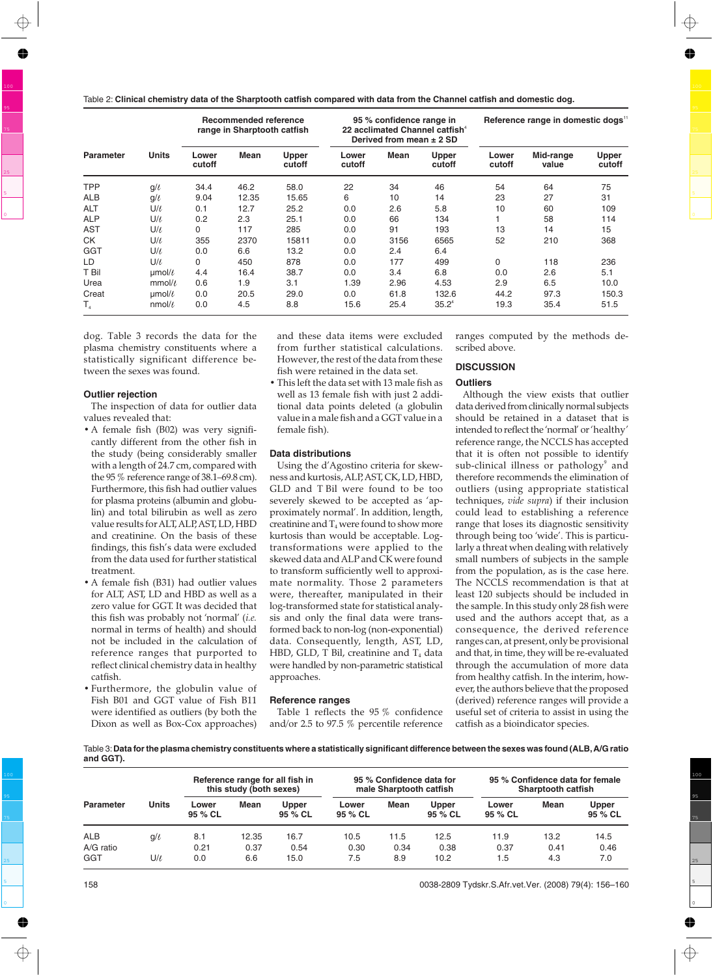Table 2: **Clinical chemistry data of the Sharptooth catfish compared with data from the Channel catfish and domestic dog.**

|                            | <b>Units</b>      | <b>Recommended reference</b><br>range in Sharptooth catfish |       |                 | 95 % confidence range in<br>22 acclimated Channel catfish <sup>4</sup><br>Derived from mean $\pm$ 2 SD |      |                        | Reference range in domestic dogs" |                    |                        |
|----------------------------|-------------------|-------------------------------------------------------------|-------|-----------------|--------------------------------------------------------------------------------------------------------|------|------------------------|-----------------------------------|--------------------|------------------------|
| <b>Parameter</b>           |                   | Lower<br>cutoff                                             | Mean  | Upper<br>cutoff | Lower<br>cutoff                                                                                        | Mean | <b>Upper</b><br>cutoff | Lower<br>cutoff                   | Mid-range<br>value | <b>Upper</b><br>cutoff |
| <b>TPP</b>                 | $g/\ell$          | 34.4                                                        | 46.2  | 58.0            | 22                                                                                                     | 34   | 46                     | 54                                | 64                 | 75                     |
| <b>ALB</b>                 | q/t               | 9.04                                                        | 12.35 | 15.65           | 6                                                                                                      | 10   | 14                     | 23                                | 27                 | 31                     |
| <b>ALT</b>                 | $U/\ell$          | 0.1                                                         | 12.7  | 25.2            | 0.0                                                                                                    | 2.6  | 5.8                    | 10                                | 60                 | 109                    |
| <b>ALP</b>                 | $U/\ell$          | 0.2                                                         | 2.3   | 25.1            | 0.0                                                                                                    | 66   | 134                    |                                   | 58                 | 114                    |
| <b>AST</b>                 | $U/\ell$          | $\Omega$                                                    | 117   | 285             | 0.0                                                                                                    | 91   | 193                    | 13                                | 14                 | 15                     |
| <b>CK</b>                  | $U/\ell$          | 355                                                         | 2370  | 15811           | 0.0                                                                                                    | 3156 | 6565                   | 52                                | 210                | 368                    |
| <b>GGT</b>                 | $U/\ell$          | 0.0                                                         | 6.6   | 13.2            | 0.0                                                                                                    | 2.4  | 6.4                    |                                   |                    |                        |
| LD                         | U/l               | $\Omega$                                                    | 450   | 878             | 0.0                                                                                                    | 177  | 499                    | 0                                 | 118                | 236                    |
| T Bil                      | $\mu$ mol/ $\ell$ | 4.4                                                         | 16.4  | 38.7            | 0.0                                                                                                    | 3.4  | 6.8                    | 0.0                               | 2.6                | 5.1                    |
| Urea                       | mmol/l            | 0.6                                                         | 1.9   | 3.1             | 1.39                                                                                                   | 2.96 | 4.53                   | 2.9                               | 6.5                | 10.0                   |
| Creat                      | µmol/l            | 0.0                                                         | 20.5  | 29.0            | 0.0                                                                                                    | 61.8 | 132.6                  | 44.2                              | 97.3               | 150.3                  |
| $T_{\scriptscriptstyle A}$ | nmol/l            | 0.0                                                         | 4.5   | 8.8             | 15.6                                                                                                   | 25.4 | $35.2^4$               | 19.3                              | 35.4               | 51.5                   |

dog. Table 3 records the data for the plasma chemistry constituents where a statistically significant difference between the sexes was found.

#### **Outlier rejection**

The inspection of data for outlier data values revealed that:

- A female fish (B02) was very significantly different from the other fish in the study (being considerably smaller with a length of 24.7 cm, compared with the 95 % reference range of 38.1–69.8 cm). Furthermore, this fish had outlier values for plasma proteins (albumin and globulin) and total bilirubin as well as zero value results for ALT, ALP, AST, LD, HBD and creatinine. On the basis of these findings, this fish's data were excluded from the data used for further statistical treatment.
- A female fish (B31) had outlier values for ALT, AST, LD and HBD as well as a zero value for GGT. It was decided that this fish was probably not 'normal' (*i.e.* normal in terms of health) and should not be included in the calculation of reference ranges that purported to reflect clinical chemistry data in healthy catfish.
- Furthermore, the globulin value of Fish B01 and GGT value of Fish B11 were identified as outliers (by both the Dixon as well as Box-Cox approaches)

and these data items were excluded from further statistical calculations. However, the rest of the data from these fish were retained in the data set.

• This left the data set with 13 male fish as well as 13 female fish with just 2 additional data points deleted (a globulin value in a male fish and a GGT value in a female fish).

## **Data distributions**

Using the d'Agostino criteria for skewness and kurtosis, ALP, AST, CK, LD, HBD, GLD and T Bil were found to be too severely skewed to be accepted as 'approximately normal'. In addition, length, creatinine and  $T_4$  were found to show more kurtosis than would be acceptable. Logtransformations were applied to the skewed data and ALP and CK were found to transform sufficiently well to approximate normality. Those 2 parameters were, thereafter, manipulated in their log-transformed state for statistical analysis and only the final data were transformed back to non-log (non-exponential) data. Consequently, length, AST, LD, HBD, GLD, T Bil, creatinine and  $T_4$  data were handled by non-parametric statistical approaches.

#### **Reference ranges**

Table 1 reflects the 95 % confidence and/or 2.5 to 97.5 % percentile reference ranges computed by the methods described above.

## **DISCUSSION**

#### **Outliers**

Although the view exists that outlier data derived from clinically normal subjects should be retained in a dataset that is intended to reflect the 'normal' or'healthy' reference range, the NCCLS has accepted that it is often not possible to identify sub-clinical illness or pathology<sup>9</sup> and therefore recommends the elimination of outliers (using appropriate statistical techniques, *vide supra*) if their inclusion could lead to establishing a reference range that loses its diagnostic sensitivity through being too 'wide'. This is particularly a threat when dealing with relatively small numbers of subjects in the sample from the population, as is the case here. The NCCLS recommendation is that at least 120 subjects should be included in the sample. In this study only 28 fish were used and the authors accept that, as a consequence, the derived reference ranges can, at present, only be provisional and that, in time, they will be re-evaluated through the accumulation of more data from healthy catfish. In the interim, however, the authors believe that the proposed (derived) reference ranges will provide a useful set of criteria to assist in using the catfish as a bioindicator species.

Table 3:**Data for the plasma chemistry constituents where a statistically significant difference between the sexes was found (ALB,A/G ratio and GGT).**

| <b>Parameter</b>               | <b>Units</b>    | Reference range for all fish in<br>this study (both sexes) |                      |                      | 95 % Confidence data for<br>male Sharptooth catfish |                     |                      | 95 % Confidence data for female<br><b>Sharptooth catfish</b> |                     |                     |
|--------------------------------|-----------------|------------------------------------------------------------|----------------------|----------------------|-----------------------------------------------------|---------------------|----------------------|--------------------------------------------------------------|---------------------|---------------------|
|                                |                 | Lower<br>95 % CL                                           | Mean                 | Upper<br>95 % CL     | Lower<br>95 % CL                                    | Mean                | Upper<br>95 % CL     | Lower<br>95 % CL                                             | Mean                | Upper<br>95 % CL    |
| <b>ALB</b><br>A/G ratio<br>GGT | $g/\ell$<br>UIL | 8.1<br>0.21<br>0.0                                         | 12.35<br>0.37<br>6.6 | 16.7<br>0.54<br>15.0 | 10.5<br>0.30<br>7.5                                 | 11.5<br>0.34<br>8.9 | 12.5<br>0.38<br>10.2 | 11.9<br>0.37<br>1.5                                          | 13.2<br>0.41<br>4.3 | 14.5<br>0.46<br>7.0 |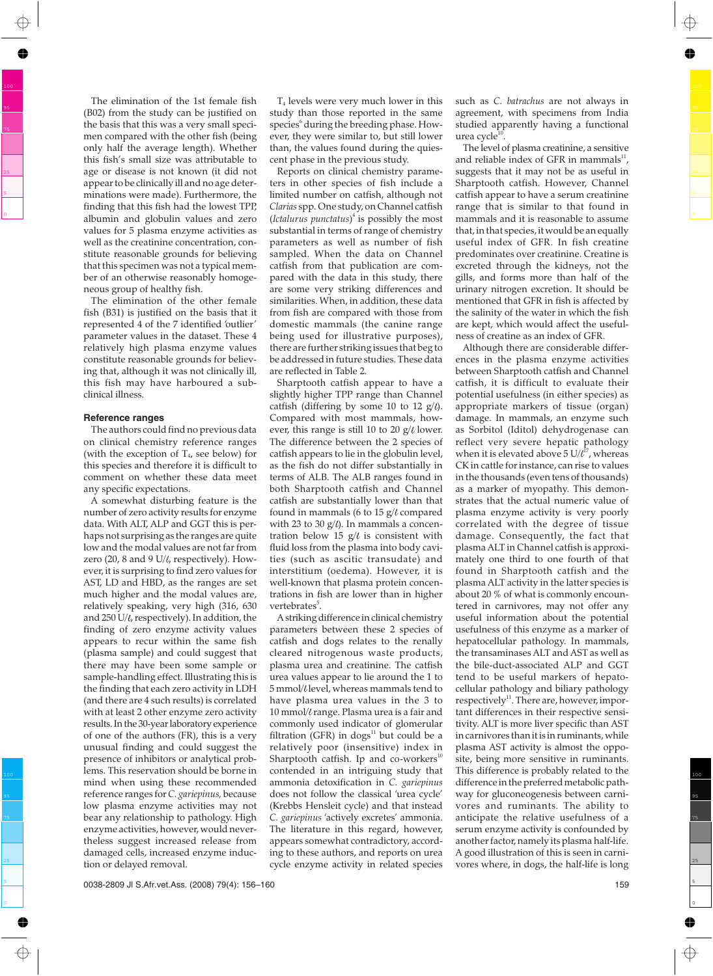The elimination of the 1st female fish (B02) from the study can be justified on the basis that this was a very small specimen compared with the other fish (being only half the average length). Whether this fish's small size was attributable to age or disease is not known (it did not appear to be clinically ill and no age determinations were made). Furthermore, the finding that this fish had the lowest TPP, albumin and globulin values and zero values for 5 plasma enzyme activities as well as the creatinine concentration, constitute reasonable grounds for believing that this specimen was not a typical member of an otherwise reasonably homogeneous group of healthy fish.

The elimination of the other female fish (B31) is justified on the basis that it represented 4 of the 7 identified 'outlier' parameter values in the dataset. These 4 relatively high plasma enzyme values constitute reasonable grounds for believing that, although it was not clinically ill, this fish may have harboured a subclinical illness.

#### **Reference ranges**

The authors could find no previous data on clinical chemistry reference ranges (with the exception of  $T<sub>4</sub>$ , see below) for this species and therefore it is difficult to comment on whether these data meet any specific expectations.

A somewhat disturbing feature is the number of zero activity results for enzyme data. With ALT, ALP and GGT this is perhaps not surprising as the ranges are quite low and the modal values are not far from zero (20, 8 and 9  $U/t$ , respectively). However, it is surprising to find zero values for AST, LD and HBD, as the ranges are set much higher and the modal values are, relatively speaking, very high (316, 630 and  $250$  U/ $\ell$ , respectively). In addition, the finding of zero enzyme activity values appears to recur within the same fish (plasma sample) and could suggest that there may have been some sample or sample-handling effect. Illustrating this is the finding that each zero activity in LDH (and there are 4 such results) is correlated with at least 2 other enzyme zero activity results. In the 30-year laboratory experience of one of the authors (FR), this is a very unusual finding and could suggest the presence of inhibitors or analytical problems. This reservation should be borne in mind when using these recommended reference ranges for *C. gariepinus,* because low plasma enzyme activities may not bear any relationship to pathology. High enzyme activities, however, would nevertheless suggest increased release from damaged cells, increased enzyme induction or delayed removal.

T4 levels were very much lower in this study than those reported in the same species<sup>6</sup> during the breeding phase. However, they were similar to, but still lower than, the values found during the quiescent phase in the previous study.

Reports on clinical chemistry parameters in other species of fish include a limited number on catfish, although not *Clarias* spp. One study, on Channel catfish (*Ictalurus punctatus*) <sup>4</sup> is possibly the most substantial in terms of range of chemistry parameters as well as number of fish sampled. When the data on Channel catfish from that publication are compared with the data in this study, there are some very striking differences and similarities. When, in addition, these data from fish are compared with those from domestic mammals (the canine range being used for illustrative purposes), there are further striking issues that beg to be addressed in future studies. These data are reflected in Table 2.

Sharptooth catfish appear to have a slightly higher TPP range than Channel catfish (differing by some 10 to 12  $g/l$ ). Compared with most mammals, however, this range is still 10 to 20  $g/l$  lower. The difference between the 2 species of catfish appears to lie in the globulin level, as the fish do not differ substantially in terms of ALB. The ALB ranges found in both Sharptooth catfish and Channel catfish are substantially lower than that found in mammals (6 to 15  $g/l$  compared with 23 to 30  $g/l$ ). In mammals a concentration below 15  $g/t$  is consistent with fluid loss from the plasma into body cavities (such as ascitic transudate) and interstitium (oedema). However, it is well-known that plasma protein concentrations in fish are lower than in higher vertebrates<sup>5</sup>.

A striking difference in clinical chemistry parameters between these 2 species of catfish and dogs relates to the renally cleared nitrogenous waste products, plasma urea and creatinine. The catfish urea values appear to lie around the 1 to 5 mmol/ $\ell$  level, whereas mammals tend to have plasma urea values in the 3 to 10 mmol/ $\ell$  range. Plasma urea is a fair and commonly used indicator of glomerular filtration (GFR) in  $dogs<sup>11</sup>$  but could be a relatively poor (insensitive) index in Sharptooth catfish. Ip and co-workers $10$ contended in an intriguing study that ammonia detoxification in *C. gariepinus* does not follow the classical 'urea cycle' (Krebbs Hensleit cycle) and that instead *C. gariepinus* 'actively excretes' ammonia. The literature in this regard, however, appears somewhat contradictory, according to these authors, and reports on urea cycle enzyme activity in related species

such as *C. batrachus* are not always in agreement, with specimens from India studied apparently having a functional urea cycle $^{10}$ 

The level of plasma creatinine, a sensitive and reliable index of GFR in mammals $^{11}$ , suggests that it may not be as useful in Sharptooth catfish. However, Channel catfish appear to have a serum creatinine range that is similar to that found in mammals and it is reasonable to assume that, in that species, it would be an equally useful index of GFR. In fish creatine predominates over creatinine. Creatine is excreted through the kidneys, not the gills, and forms more than half of the urinary nitrogen excretion. It should be mentioned that GFR in fish is affected by the salinity of the water in which the fish are kept, which would affect the usefulness of creatine as an index of GFR.

Although there are considerable differences in the plasma enzyme activities between Sharptooth catfish and Channel catfish, it is difficult to evaluate their potential usefulness (in either species) as appropriate markers of tissue (organ) damage. In mammals, an enzyme such as Sorbitol (Iditol) dehydrogenase can reflect very severe hepatic pathology when it is elevated above 5  $U/l^{17}$ , whereas CK in cattle for instance, can rise to values in the thousands (even tens of thousands) as a marker of myopathy. This demonstrates that the actual numeric value of plasma enzyme activity is very poorly correlated with the degree of tissue damage. Consequently, the fact that plasma ALT in Channel catfish is approximately one third to one fourth of that found in Sharptooth catfish and the plasma ALT activity in the latter species is about 20 % of what is commonly encountered in carnivores, may not offer any useful information about the potential usefulness of this enzyme as a marker of hepatocellular pathology. In mammals, the transaminases ALT and AST as well as the bile-duct-associated ALP and GGT tend to be useful markers of hepatocellular pathology and biliary pathology respectively $^{11}$ . There are, however, important differences in their respective sensitivity. ALT is more liver specific than AST in carnivores than it is in ruminants, while plasma AST activity is almost the opposite, being more sensitive in ruminants. This difference is probably related to the difference in the preferred metabolic pathway for gluconeogenesis between carnivores and ruminants. The ability to anticipate the relative usefulness of a serum enzyme activity is confounded by another factor, namely its plasma half-life. A good illustration of this is seen in carnivores where, in dogs, the half-life is long